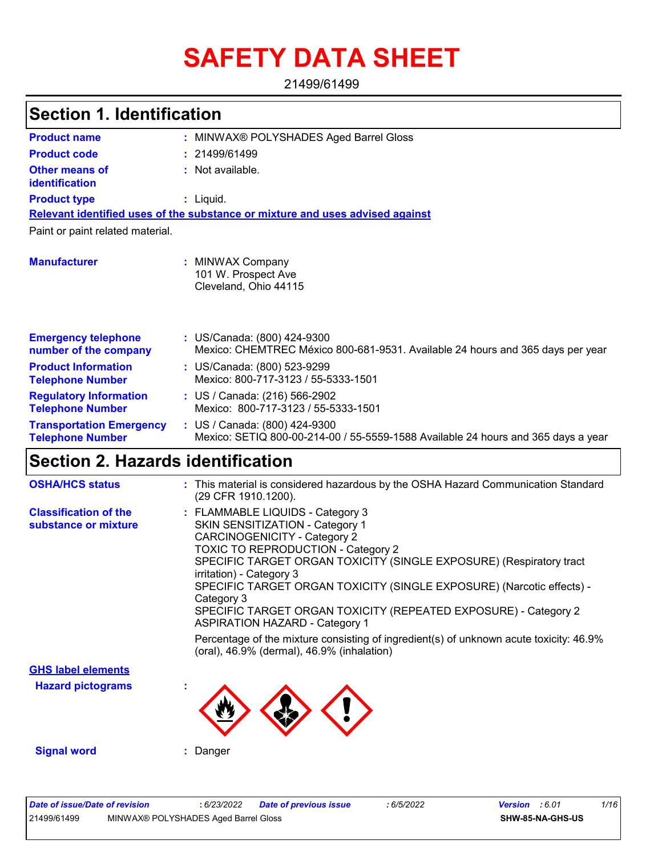# **SAFETY DATA SHEET**

21499/61499

| <b>Section 1. Identification</b>                           |                                                                                                                    |  |  |
|------------------------------------------------------------|--------------------------------------------------------------------------------------------------------------------|--|--|
| <b>Product name</b>                                        | : MINWAX® POLYSHADES Aged Barrel Gloss                                                                             |  |  |
| <b>Product code</b>                                        | 21499/61499                                                                                                        |  |  |
| <b>Other means of</b><br>identification                    | : Not available.                                                                                                   |  |  |
| <b>Product type</b>                                        | : Liquid.                                                                                                          |  |  |
|                                                            | Relevant identified uses of the substance or mixture and uses advised against                                      |  |  |
| Paint or paint related material.                           |                                                                                                                    |  |  |
| <b>Manufacturer</b>                                        | : MINWAX Company<br>101 W. Prospect Ave<br>Cleveland, Ohio 44115                                                   |  |  |
| <b>Emergency telephone</b><br>number of the company        | : US/Canada: (800) 424-9300<br>Mexico: CHEMTREC México 800-681-9531. Available 24 hours and 365 days per year      |  |  |
| <b>Product Information</b><br><b>Telephone Number</b>      | : US/Canada: (800) 523-9299<br>Mexico: 800-717-3123 / 55-5333-1501                                                 |  |  |
| <b>Regulatory Information</b><br><b>Telephone Number</b>   | : US / Canada: (216) 566-2902<br>Mexico: 800-717-3123 / 55-5333-1501                                               |  |  |
| <b>Transportation Emergency</b><br><b>Telephone Number</b> | : US / Canada: (800) 424-9300<br>Mexico: SETIQ 800-00-214-00 / 55-5559-1588 Available 24 hours and 365 days a year |  |  |
| Section 2. Hazards identification                          |                                                                                                                    |  |  |
| <b>OSHA/HCS status</b>                                     | : This material is considered hazardous by the OSHA Hazard Communication Standard<br>(29 CFR 1910.1200).           |  |  |

| <b>Classification of the</b> | : FLAMMABLE LIQUIDS - Category 3                                                                                                     |
|------------------------------|--------------------------------------------------------------------------------------------------------------------------------------|
| substance or mixture         | <b>SKIN SENSITIZATION - Category 1</b>                                                                                               |
|                              | <b>CARCINOGENICITY - Category 2</b>                                                                                                  |
|                              | <b>TOXIC TO REPRODUCTION - Category 2</b>                                                                                            |
|                              | SPECIFIC TARGET ORGAN TOXICITY (SINGLE EXPOSURE) (Respiratory tract                                                                  |
|                              | irritation) - Category 3<br>SPECIFIC TARGET ORGAN TOXICITY (SINGLE EXPOSURE) (Narcotic effects) -<br>Category 3                      |
|                              | SPECIFIC TARGET ORGAN TOXICITY (REPEATED EXPOSURE) - Category 2<br><b>ASPIRATION HAZARD - Category 1</b>                             |
|                              | Percentage of the mixture consisting of ingredient(s) of unknown acute toxicity: 46.9%<br>(oral), 46.9% (dermal), 46.9% (inhalation) |
| <b>GHS label elements</b>    |                                                                                                                                      |
| <b>Hazard pictograms</b>     |                                                                                                                                      |
|                              |                                                                                                                                      |

**Signal word :** Danger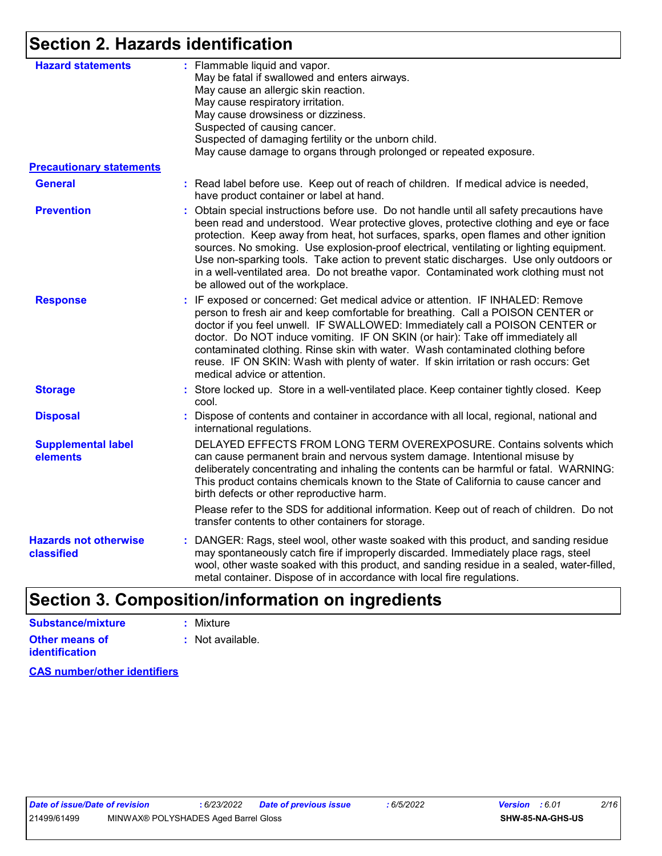# **Section 2. Hazards identification**

| <b>Hazard statements</b>                   | : Flammable liquid and vapor.<br>May be fatal if swallowed and enters airways.<br>May cause an allergic skin reaction.<br>May cause respiratory irritation.<br>May cause drowsiness or dizziness.<br>Suspected of causing cancer.<br>Suspected of damaging fertility or the unborn child.<br>May cause damage to organs through prolonged or repeated exposure.                                                                                                                                                                                                                              |
|--------------------------------------------|----------------------------------------------------------------------------------------------------------------------------------------------------------------------------------------------------------------------------------------------------------------------------------------------------------------------------------------------------------------------------------------------------------------------------------------------------------------------------------------------------------------------------------------------------------------------------------------------|
| <b>Precautionary statements</b>            |                                                                                                                                                                                                                                                                                                                                                                                                                                                                                                                                                                                              |
| <b>General</b>                             | : Read label before use. Keep out of reach of children. If medical advice is needed,<br>have product container or label at hand.                                                                                                                                                                                                                                                                                                                                                                                                                                                             |
| <b>Prevention</b>                          | : Obtain special instructions before use. Do not handle until all safety precautions have<br>been read and understood. Wear protective gloves, protective clothing and eye or face<br>protection. Keep away from heat, hot surfaces, sparks, open flames and other ignition<br>sources. No smoking. Use explosion-proof electrical, ventilating or lighting equipment.<br>Use non-sparking tools. Take action to prevent static discharges. Use only outdoors or<br>in a well-ventilated area. Do not breathe vapor. Contaminated work clothing must not<br>be allowed out of the workplace. |
| <b>Response</b>                            | : IF exposed or concerned: Get medical advice or attention. IF INHALED: Remove<br>person to fresh air and keep comfortable for breathing. Call a POISON CENTER or<br>doctor if you feel unwell. IF SWALLOWED: Immediately call a POISON CENTER or<br>doctor. Do NOT induce vomiting. IF ON SKIN (or hair): Take off immediately all<br>contaminated clothing. Rinse skin with water. Wash contaminated clothing before<br>reuse. IF ON SKIN: Wash with plenty of water. If skin irritation or rash occurs: Get<br>medical advice or attention.                                               |
| <b>Storage</b>                             | : Store locked up. Store in a well-ventilated place. Keep container tightly closed. Keep<br>cool.                                                                                                                                                                                                                                                                                                                                                                                                                                                                                            |
| <b>Disposal</b>                            | Dispose of contents and container in accordance with all local, regional, national and<br>international regulations.                                                                                                                                                                                                                                                                                                                                                                                                                                                                         |
| <b>Supplemental label</b><br>elements      | DELAYED EFFECTS FROM LONG TERM OVEREXPOSURE. Contains solvents which<br>can cause permanent brain and nervous system damage. Intentional misuse by<br>deliberately concentrating and inhaling the contents can be harmful or fatal. WARNING:<br>This product contains chemicals known to the State of California to cause cancer and<br>birth defects or other reproductive harm.                                                                                                                                                                                                            |
|                                            | Please refer to the SDS for additional information. Keep out of reach of children. Do not<br>transfer contents to other containers for storage.                                                                                                                                                                                                                                                                                                                                                                                                                                              |
| <b>Hazards not otherwise</b><br>classified | DANGER: Rags, steel wool, other waste soaked with this product, and sanding residue<br>may spontaneously catch fire if improperly discarded. Immediately place rags, steel<br>wool, other waste soaked with this product, and sanding residue in a sealed, water-filled,<br>metal container. Dispose of in accordance with local fire regulations.                                                                                                                                                                                                                                           |
|                                            |                                                                                                                                                                                                                                                                                                                                                                                                                                                                                                                                                                                              |

# **Section 3. Composition/information on ingredients**

| Substance/mixture     | : Mixture                   |
|-----------------------|-----------------------------|
| <b>Other means of</b> | $\therefore$ Not available. |
| identification        |                             |

**CAS number/other identifiers**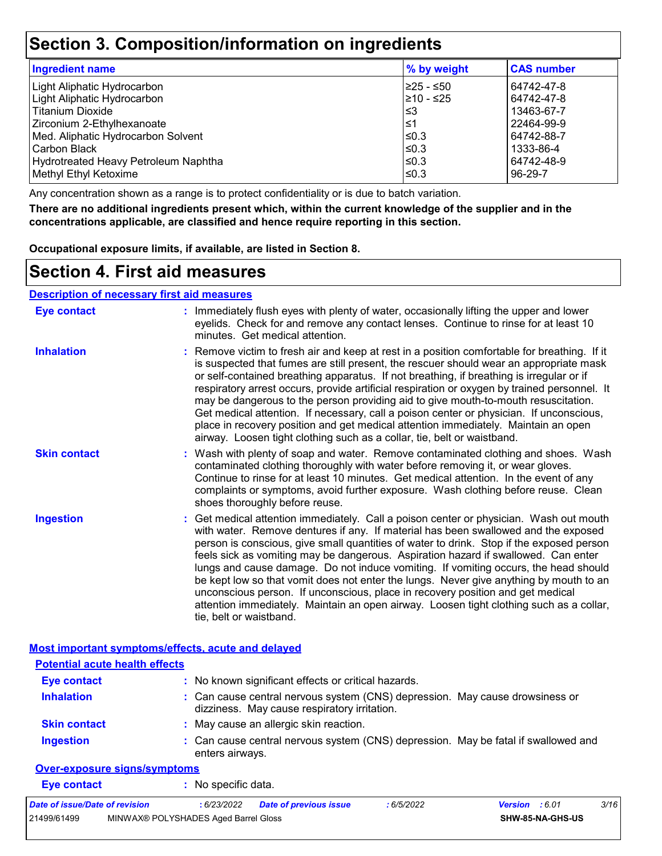# **Section 3. Composition/information on ingredients**

| <b>Ingredient name</b>               | % by weight | <b>CAS number</b> |
|--------------------------------------|-------------|-------------------|
| Light Aliphatic Hydrocarbon          | 225 - ≤50   | 64742-47-8        |
| Light Aliphatic Hydrocarbon          | 210 - ≤25   | 64742-47-8        |
| <b>Titanium Dioxide</b>              | l≤3         | 13463-67-7        |
| Zirconium 2-Ethylhexanoate           | 1≥ا         | 22464-99-9        |
| Med. Aliphatic Hydrocarbon Solvent   | l≤0.3       | 64742-88-7        |
| Carbon Black                         | $≤0.3$      | 1333-86-4         |
| Hydrotreated Heavy Petroleum Naphtha | $\leq 0.3$  | 64742-48-9        |
| Methyl Ethyl Ketoxime                | l≤0.3       | 96-29-7           |

Any concentration shown as a range is to protect confidentiality or is due to batch variation.

**There are no additional ingredients present which, within the current knowledge of the supplier and in the concentrations applicable, are classified and hence require reporting in this section.**

**Occupational exposure limits, if available, are listed in Section 8.**

### **Section 4. First aid measures**

#### **Description of necessary first aid measures**

| <b>Eye contact</b>                                                                          | : Immediately flush eyes with plenty of water, occasionally lifting the upper and lower<br>eyelids. Check for and remove any contact lenses. Continue to rinse for at least 10<br>minutes. Get medical attention.                                                                                                                                                                                                                                                                                                                                                                                                                                                                                                                                       |
|---------------------------------------------------------------------------------------------|---------------------------------------------------------------------------------------------------------------------------------------------------------------------------------------------------------------------------------------------------------------------------------------------------------------------------------------------------------------------------------------------------------------------------------------------------------------------------------------------------------------------------------------------------------------------------------------------------------------------------------------------------------------------------------------------------------------------------------------------------------|
| <b>Inhalation</b>                                                                           | : Remove victim to fresh air and keep at rest in a position comfortable for breathing. If it<br>is suspected that fumes are still present, the rescuer should wear an appropriate mask<br>or self-contained breathing apparatus. If not breathing, if breathing is irregular or if<br>respiratory arrest occurs, provide artificial respiration or oxygen by trained personnel. It<br>may be dangerous to the person providing aid to give mouth-to-mouth resuscitation.<br>Get medical attention. If necessary, call a poison center or physician. If unconscious,<br>place in recovery position and get medical attention immediately. Maintain an open<br>airway. Loosen tight clothing such as a collar, tie, belt or waistband.                    |
| <b>Skin contact</b>                                                                         | : Wash with plenty of soap and water. Remove contaminated clothing and shoes. Wash<br>contaminated clothing thoroughly with water before removing it, or wear gloves.<br>Continue to rinse for at least 10 minutes. Get medical attention. In the event of any<br>complaints or symptoms, avoid further exposure. Wash clothing before reuse. Clean<br>shoes thoroughly before reuse.                                                                                                                                                                                                                                                                                                                                                                   |
| <b>Ingestion</b>                                                                            | : Get medical attention immediately. Call a poison center or physician. Wash out mouth<br>with water. Remove dentures if any. If material has been swallowed and the exposed<br>person is conscious, give small quantities of water to drink. Stop if the exposed person<br>feels sick as vomiting may be dangerous. Aspiration hazard if swallowed. Can enter<br>lungs and cause damage. Do not induce vomiting. If vomiting occurs, the head should<br>be kept low so that vomit does not enter the lungs. Never give anything by mouth to an<br>unconscious person. If unconscious, place in recovery position and get medical<br>attention immediately. Maintain an open airway. Loosen tight clothing such as a collar,<br>tie, belt or waistband. |
| Most important symptoms/effects, acute and delayed<br><b>Potential acute health effects</b> |                                                                                                                                                                                                                                                                                                                                                                                                                                                                                                                                                                                                                                                                                                                                                         |
| <b>Eye contact</b>                                                                          | : No known significant effects or critical hazards.                                                                                                                                                                                                                                                                                                                                                                                                                                                                                                                                                                                                                                                                                                     |
| <b>Inhalation</b>                                                                           |                                                                                                                                                                                                                                                                                                                                                                                                                                                                                                                                                                                                                                                                                                                                                         |
|                                                                                             | : Can cause central nervous system (CNS) depression. May cause drowsiness or<br>dizziness. May cause respiratory irritation.                                                                                                                                                                                                                                                                                                                                                                                                                                                                                                                                                                                                                            |
| <b>Skin contact</b>                                                                         | : May cause an allergic skin reaction.                                                                                                                                                                                                                                                                                                                                                                                                                                                                                                                                                                                                                                                                                                                  |
| <b>Ingestion</b>                                                                            | : Can cause central nervous system (CNS) depression. May be fatal if swallowed and<br>enters airways.                                                                                                                                                                                                                                                                                                                                                                                                                                                                                                                                                                                                                                                   |
| <b>Over-exposure signs/symptoms</b>                                                         |                                                                                                                                                                                                                                                                                                                                                                                                                                                                                                                                                                                                                                                                                                                                                         |
| <b>Eve contact</b>                                                                          | : No specific data.                                                                                                                                                                                                                                                                                                                                                                                                                                                                                                                                                                                                                                                                                                                                     |

| Date of issue/Date of revision |                                      | : 6/23/2022 Date of previous issue | : 6/5/2022 | <b>Version</b> : 6.01 |                         | 3/16 |
|--------------------------------|--------------------------------------|------------------------------------|------------|-----------------------|-------------------------|------|
| 21499/61499                    | MINWAX® POLYSHADES Aged Barrel Gloss |                                    |            |                       | <b>SHW-85-NA-GHS-US</b> |      |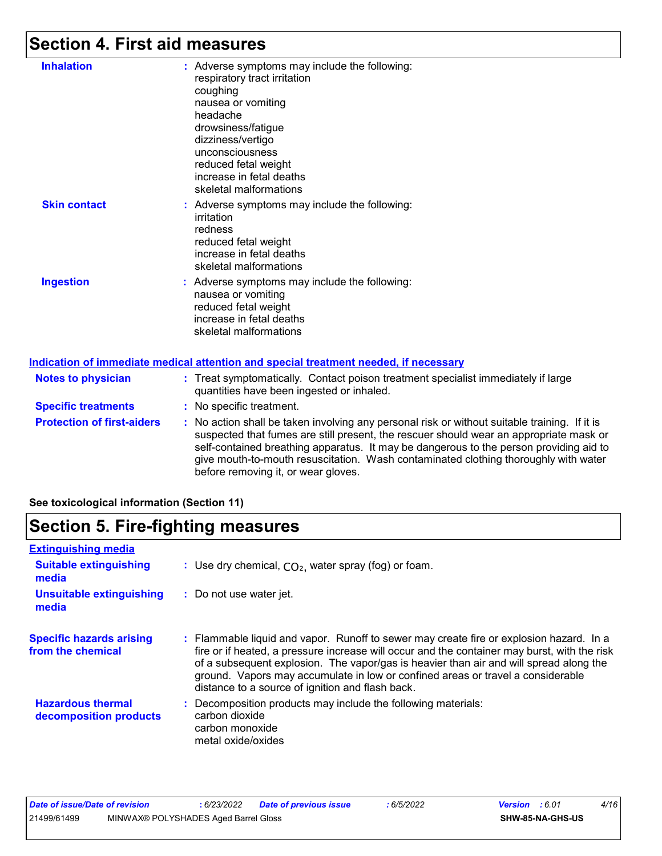### **Section 4. First aid measures**

| <b>Inhalation</b>                 | : Adverse symptoms may include the following:<br>respiratory tract irritation<br>coughing<br>nausea or vomiting<br>headache<br>drowsiness/fatigue<br>dizziness/vertigo<br>unconsciousness<br>reduced fetal weight<br>increase in fetal deaths<br>skeletal malformations |
|-----------------------------------|-------------------------------------------------------------------------------------------------------------------------------------------------------------------------------------------------------------------------------------------------------------------------|
| <b>Skin contact</b>               | : Adverse symptoms may include the following:<br>irritation<br>redness<br>reduced fetal weight<br>increase in fetal deaths<br>skeletal malformations                                                                                                                    |
| <b>Ingestion</b>                  | : Adverse symptoms may include the following:<br>nausea or vomiting<br>reduced fetal weight<br>increase in fetal deaths<br>skeletal malformations                                                                                                                       |
|                                   | <b>Indication of immediate medical attention and special treatment needed, if necessary</b>                                                                                                                                                                             |
| <b>Notes to physician</b>         | : Treat symptomatically. Contact poison treatment specialist immediately if large<br>quantities have been ingested or inhaled.                                                                                                                                          |
| <b>Specific treatments</b>        | : No specific treatment.                                                                                                                                                                                                                                                |
| <b>Protection of first-aiders</b> | $\cdot$ No action shall be taken involving any personal risk or without suitable training                                                                                                                                                                               |

taken involving any personal risk or without suitable training. If it is suspected that fumes are still present, the rescuer should wear an appropriate mask or self-contained breathing apparatus. It may be dangerous to the person providing aid to give mouth-to-mouth resuscitation. Wash contaminated clothing thoroughly with water before removing it, or wear gloves.

**See toxicological information (Section 11)**

### **Section 5. Fire-fighting measures**

| <b>Extinguishing media</b>                           |                                                                                                                                                                                                                                                                                                                                                                                                                          |
|------------------------------------------------------|--------------------------------------------------------------------------------------------------------------------------------------------------------------------------------------------------------------------------------------------------------------------------------------------------------------------------------------------------------------------------------------------------------------------------|
| <b>Suitable extinguishing</b><br>media               | : Use dry chemical, $CO2$ , water spray (fog) or foam.                                                                                                                                                                                                                                                                                                                                                                   |
| <b>Unsuitable extinguishing</b><br>media             | : Do not use water jet.                                                                                                                                                                                                                                                                                                                                                                                                  |
| <b>Specific hazards arising</b><br>from the chemical | : Flammable liquid and vapor. Runoff to sewer may create fire or explosion hazard. In a<br>fire or if heated, a pressure increase will occur and the container may burst, with the risk<br>of a subsequent explosion. The vapor/gas is heavier than air and will spread along the<br>ground. Vapors may accumulate in low or confined areas or travel a considerable<br>distance to a source of ignition and flash back. |
| <b>Hazardous thermal</b><br>decomposition products   | Decomposition products may include the following materials:<br>carbon dioxide<br>carbon monoxide<br>metal oxide/oxides                                                                                                                                                                                                                                                                                                   |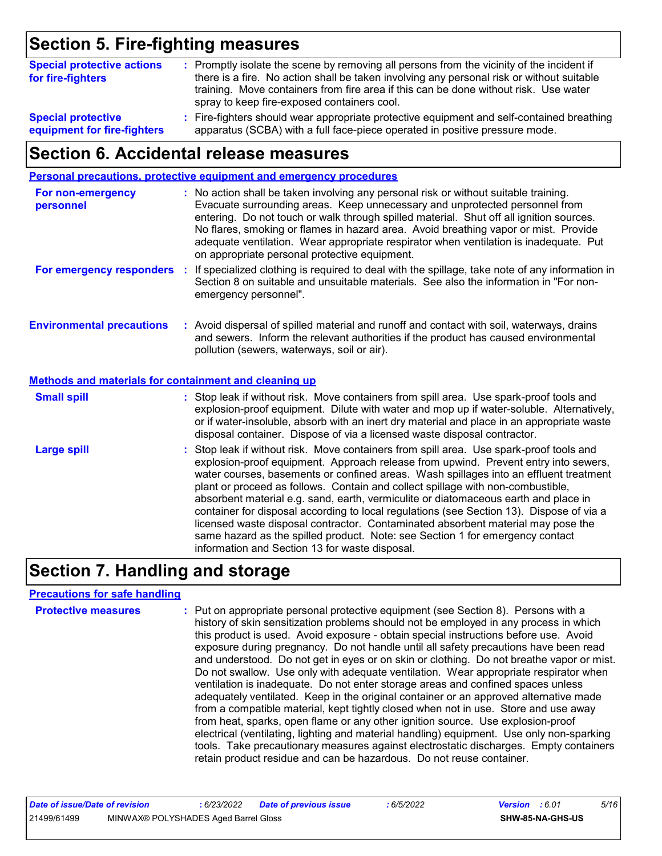## **Section 5. Fire-fighting measures**

| <b>Special protective actions</b><br>for fire-fighters | : Promptly isolate the scene by removing all persons from the vicinity of the incident if<br>there is a fire. No action shall be taken involving any personal risk or without suitable<br>training. Move containers from fire area if this can be done without risk. Use water<br>spray to keep fire-exposed containers cool. |
|--------------------------------------------------------|-------------------------------------------------------------------------------------------------------------------------------------------------------------------------------------------------------------------------------------------------------------------------------------------------------------------------------|
| <b>Special protective</b>                              | : Fire-fighters should wear appropriate protective equipment and self-contained breathing                                                                                                                                                                                                                                     |
| equipment for fire-fighters                            | apparatus (SCBA) with a full face-piece operated in positive pressure mode.                                                                                                                                                                                                                                                   |

### **Section 6. Accidental release measures**

|                                                       | Personal precautions, protective equipment and emergency procedures                                                                                                                                                                                                                                                                                                                                                                                                                                                                                                                                                                                                                                                                                                  |
|-------------------------------------------------------|----------------------------------------------------------------------------------------------------------------------------------------------------------------------------------------------------------------------------------------------------------------------------------------------------------------------------------------------------------------------------------------------------------------------------------------------------------------------------------------------------------------------------------------------------------------------------------------------------------------------------------------------------------------------------------------------------------------------------------------------------------------------|
| For non-emergency<br>personnel                        | : No action shall be taken involving any personal risk or without suitable training.<br>Evacuate surrounding areas. Keep unnecessary and unprotected personnel from<br>entering. Do not touch or walk through spilled material. Shut off all ignition sources.<br>No flares, smoking or flames in hazard area. Avoid breathing vapor or mist. Provide<br>adequate ventilation. Wear appropriate respirator when ventilation is inadequate. Put<br>on appropriate personal protective equipment.                                                                                                                                                                                                                                                                      |
| For emergency responders :                            | If specialized clothing is required to deal with the spillage, take note of any information in<br>Section 8 on suitable and unsuitable materials. See also the information in "For non-<br>emergency personnel".                                                                                                                                                                                                                                                                                                                                                                                                                                                                                                                                                     |
| <b>Environmental precautions</b>                      | : Avoid dispersal of spilled material and runoff and contact with soil, waterways, drains<br>and sewers. Inform the relevant authorities if the product has caused environmental<br>pollution (sewers, waterways, soil or air).                                                                                                                                                                                                                                                                                                                                                                                                                                                                                                                                      |
| Methods and materials for containment and cleaning up |                                                                                                                                                                                                                                                                                                                                                                                                                                                                                                                                                                                                                                                                                                                                                                      |
| <b>Small spill</b>                                    | : Stop leak if without risk. Move containers from spill area. Use spark-proof tools and<br>explosion-proof equipment. Dilute with water and mop up if water-soluble. Alternatively,<br>or if water-insoluble, absorb with an inert dry material and place in an appropriate waste<br>disposal container. Dispose of via a licensed waste disposal contractor.                                                                                                                                                                                                                                                                                                                                                                                                        |
| <b>Large spill</b>                                    | : Stop leak if without risk. Move containers from spill area. Use spark-proof tools and<br>explosion-proof equipment. Approach release from upwind. Prevent entry into sewers,<br>water courses, basements or confined areas. Wash spillages into an effluent treatment<br>plant or proceed as follows. Contain and collect spillage with non-combustible,<br>absorbent material e.g. sand, earth, vermiculite or diatomaceous earth and place in<br>container for disposal according to local regulations (see Section 13). Dispose of via a<br>licensed waste disposal contractor. Contaminated absorbent material may pose the<br>same hazard as the spilled product. Note: see Section 1 for emergency contact<br>information and Section 13 for waste disposal. |

# **Section 7. Handling and storage**

#### **Precautions for safe handling**

| <b>Protective measures</b> | : Put on appropriate personal protective equipment (see Section 8). Persons with a<br>history of skin sensitization problems should not be employed in any process in which<br>this product is used. Avoid exposure - obtain special instructions before use. Avoid<br>exposure during pregnancy. Do not handle until all safety precautions have been read<br>and understood. Do not get in eyes or on skin or clothing. Do not breathe vapor or mist.<br>Do not swallow. Use only with adequate ventilation. Wear appropriate respirator when<br>ventilation is inadequate. Do not enter storage areas and confined spaces unless<br>adequately ventilated. Keep in the original container or an approved alternative made<br>from a compatible material, kept tightly closed when not in use. Store and use away<br>from heat, sparks, open flame or any other ignition source. Use explosion-proof<br>electrical (ventilating, lighting and material handling) equipment. Use only non-sparking<br>tools. Take precautionary measures against electrostatic discharges. Empty containers |
|----------------------------|----------------------------------------------------------------------------------------------------------------------------------------------------------------------------------------------------------------------------------------------------------------------------------------------------------------------------------------------------------------------------------------------------------------------------------------------------------------------------------------------------------------------------------------------------------------------------------------------------------------------------------------------------------------------------------------------------------------------------------------------------------------------------------------------------------------------------------------------------------------------------------------------------------------------------------------------------------------------------------------------------------------------------------------------------------------------------------------------|
|                            | retain product residue and can be hazardous. Do not reuse container.                                                                                                                                                                                                                                                                                                                                                                                                                                                                                                                                                                                                                                                                                                                                                                                                                                                                                                                                                                                                                         |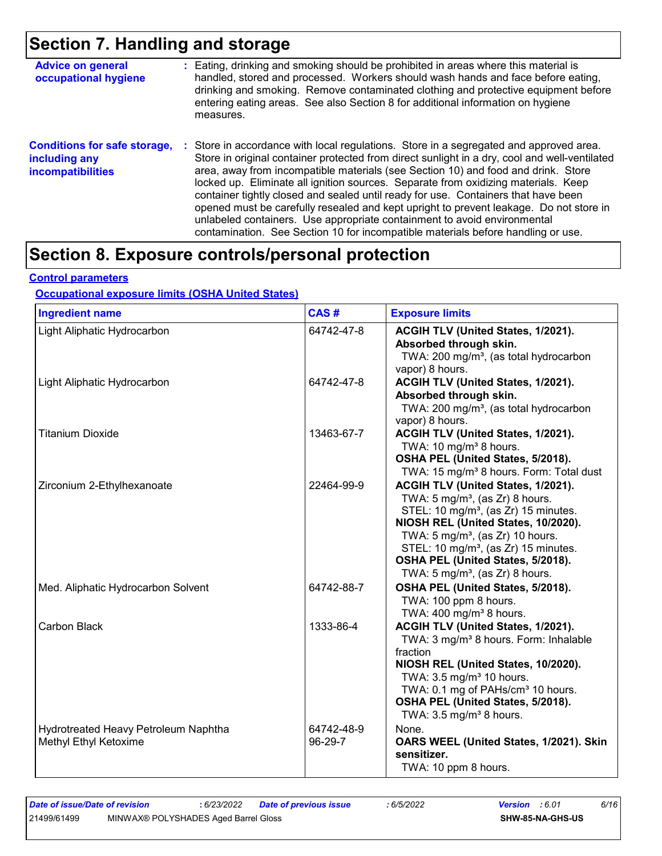## **Section 7. Handling and storage**

| <b>Advice on general</b><br>occupational hygiene                                 | : Eating, drinking and smoking should be prohibited in areas where this material is<br>handled, stored and processed. Workers should wash hands and face before eating,<br>drinking and smoking. Remove contaminated clothing and protective equipment before<br>entering eating areas. See also Section 8 for additional information on hygiene<br>measures.                                                                                                                                                                                                                                                                                                                                                      |
|----------------------------------------------------------------------------------|--------------------------------------------------------------------------------------------------------------------------------------------------------------------------------------------------------------------------------------------------------------------------------------------------------------------------------------------------------------------------------------------------------------------------------------------------------------------------------------------------------------------------------------------------------------------------------------------------------------------------------------------------------------------------------------------------------------------|
| <b>Conditions for safe storage,</b><br>including any<br><b>incompatibilities</b> | : Store in accordance with local regulations. Store in a segregated and approved area.<br>Store in original container protected from direct sunlight in a dry, cool and well-ventilated<br>area, away from incompatible materials (see Section 10) and food and drink. Store<br>locked up. Eliminate all ignition sources. Separate from oxidizing materials. Keep<br>container tightly closed and sealed until ready for use. Containers that have been<br>opened must be carefully resealed and kept upright to prevent leakage. Do not store in<br>unlabeled containers. Use appropriate containment to avoid environmental<br>contamination. See Section 10 for incompatible materials before handling or use. |

# **Section 8. Exposure controls/personal protection**

#### **Control parameters**

#### **Occupational exposure limits (OSHA United States)**

| <b>Ingredient name</b>                                        | CAS#                  | <b>Exposure limits</b>                                                                                                                                                                                                                                                                                                                                            |
|---------------------------------------------------------------|-----------------------|-------------------------------------------------------------------------------------------------------------------------------------------------------------------------------------------------------------------------------------------------------------------------------------------------------------------------------------------------------------------|
| Light Aliphatic Hydrocarbon                                   | 64742-47-8            | ACGIH TLV (United States, 1/2021).<br>Absorbed through skin.<br>TWA: 200 mg/m <sup>3</sup> , (as total hydrocarbon<br>vapor) 8 hours.                                                                                                                                                                                                                             |
| Light Aliphatic Hydrocarbon                                   | 64742-47-8            | ACGIH TLV (United States, 1/2021).<br>Absorbed through skin.<br>TWA: 200 mg/m <sup>3</sup> , (as total hydrocarbon<br>vapor) 8 hours.                                                                                                                                                                                                                             |
| <b>Titanium Dioxide</b>                                       | 13463-67-7            | ACGIH TLV (United States, 1/2021).<br>TWA: 10 mg/m <sup>3</sup> 8 hours.<br>OSHA PEL (United States, 5/2018).<br>TWA: 15 mg/m <sup>3</sup> 8 hours. Form: Total dust                                                                                                                                                                                              |
| Zirconium 2-Ethylhexanoate                                    | 22464-99-9            | ACGIH TLV (United States, 1/2021).<br>TWA: $5 \text{ mg/m}^3$ , (as Zr) 8 hours.<br>STEL: 10 mg/m <sup>3</sup> , (as Zr) 15 minutes.<br>NIOSH REL (United States, 10/2020).<br>TWA: $5 \text{ mg/m}^3$ , (as Zr) 10 hours.<br>STEL: 10 mg/m <sup>3</sup> , (as Zr) 15 minutes.<br>OSHA PEL (United States, 5/2018).<br>TWA: $5 \text{ mg/m}^3$ , (as Zr) 8 hours. |
| Med. Aliphatic Hydrocarbon Solvent                            | 64742-88-7            | OSHA PEL (United States, 5/2018).<br>TWA: 100 ppm 8 hours.<br>TWA: 400 mg/m <sup>3</sup> 8 hours.                                                                                                                                                                                                                                                                 |
| Carbon Black                                                  | 1333-86-4             | ACGIH TLV (United States, 1/2021).<br>TWA: 3 mg/m <sup>3</sup> 8 hours. Form: Inhalable<br>fraction<br>NIOSH REL (United States, 10/2020).<br>TWA: 3.5 mg/m <sup>3</sup> 10 hours.<br>TWA: 0.1 mg of PAHs/cm <sup>3</sup> 10 hours.<br>OSHA PEL (United States, 5/2018).<br>TWA: $3.5 \text{ mg/m}^3$ 8 hours.                                                    |
| Hydrotreated Heavy Petroleum Naphtha<br>Methyl Ethyl Ketoxime | 64742-48-9<br>96-29-7 | None.<br>OARS WEEL (United States, 1/2021). Skin<br>sensitizer.<br>TWA: 10 ppm 8 hours.                                                                                                                                                                                                                                                                           |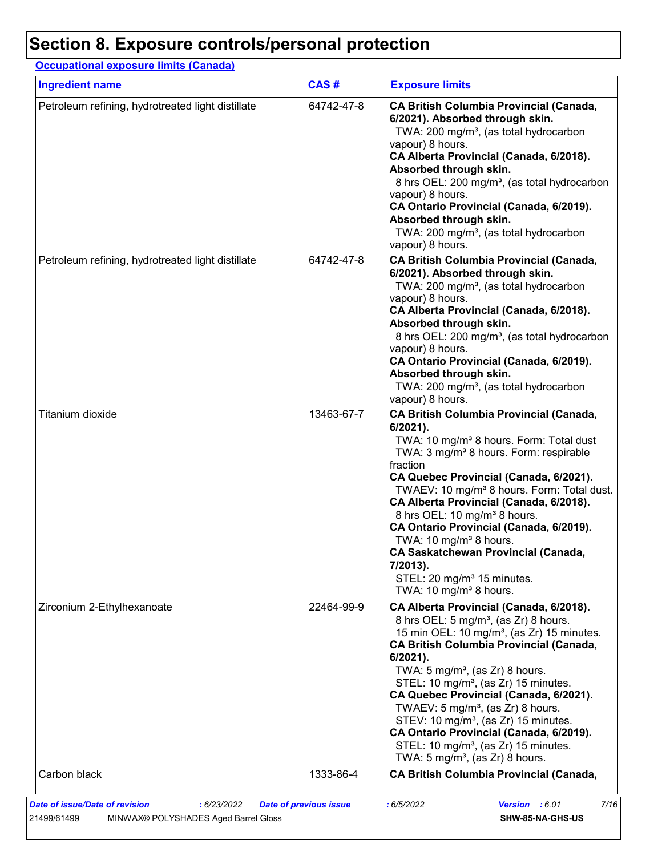# **Section 8. Exposure controls/personal protection**

### **Occupational exposure limits (Canada)**

| <b>Ingredient name</b>                            | CAS#       | <b>Exposure limits</b>                                                                                                                                                                                                                                                                                                                                                                                                                                                                                                                                                                                              |
|---------------------------------------------------|------------|---------------------------------------------------------------------------------------------------------------------------------------------------------------------------------------------------------------------------------------------------------------------------------------------------------------------------------------------------------------------------------------------------------------------------------------------------------------------------------------------------------------------------------------------------------------------------------------------------------------------|
| Petroleum refining, hydrotreated light distillate | 64742-47-8 | <b>CA British Columbia Provincial (Canada,</b><br>6/2021). Absorbed through skin.<br>TWA: 200 mg/m <sup>3</sup> , (as total hydrocarbon<br>vapour) 8 hours.<br>CA Alberta Provincial (Canada, 6/2018).<br>Absorbed through skin.<br>8 hrs OEL: 200 mg/m <sup>3</sup> , (as total hydrocarbon<br>vapour) 8 hours.<br>CA Ontario Provincial (Canada, 6/2019).<br>Absorbed through skin.<br>TWA: 200 mg/m <sup>3</sup> , (as total hydrocarbon<br>vapour) 8 hours.                                                                                                                                                     |
| Petroleum refining, hydrotreated light distillate | 64742-47-8 | <b>CA British Columbia Provincial (Canada,</b><br>6/2021). Absorbed through skin.<br>TWA: 200 mg/m <sup>3</sup> , (as total hydrocarbon<br>vapour) 8 hours.<br>CA Alberta Provincial (Canada, 6/2018).<br>Absorbed through skin.<br>8 hrs OEL: 200 mg/m <sup>3</sup> , (as total hydrocarbon<br>vapour) 8 hours.<br>CA Ontario Provincial (Canada, 6/2019).<br>Absorbed through skin.<br>TWA: 200 mg/m <sup>3</sup> , (as total hydrocarbon<br>vapour) 8 hours.                                                                                                                                                     |
| Titanium dioxide                                  | 13463-67-7 | <b>CA British Columbia Provincial (Canada,</b><br>6/2021).<br>TWA: 10 mg/m <sup>3</sup> 8 hours. Form: Total dust<br>TWA: 3 mg/m <sup>3</sup> 8 hours. Form: respirable<br>fraction<br>CA Quebec Provincial (Canada, 6/2021).<br>TWAEV: 10 mg/m <sup>3</sup> 8 hours. Form: Total dust.<br>CA Alberta Provincial (Canada, 6/2018).<br>8 hrs OEL: 10 mg/m <sup>3</sup> 8 hours.<br>CA Ontario Provincial (Canada, 6/2019).<br>TWA: 10 mg/m <sup>3</sup> 8 hours.<br><b>CA Saskatchewan Provincial (Canada,</b><br>7/2013).<br>STEL: 20 mg/m <sup>3</sup> 15 minutes.<br>TWA: 10 mg/m <sup>3</sup> 8 hours.           |
| Zirconium 2-Ethylhexanoate                        | 22464-99-9 | CA Alberta Provincial (Canada, 6/2018).<br>8 hrs OEL: 5 mg/m <sup>3</sup> , (as Zr) 8 hours.<br>15 min OEL: 10 mg/m <sup>3</sup> , (as Zr) 15 minutes.<br><b>CA British Columbia Provincial (Canada,</b><br>6/2021).<br>TWA: 5 mg/m <sup>3</sup> , (as Zr) 8 hours.<br>STEL: 10 mg/m <sup>3</sup> , (as Zr) 15 minutes.<br>CA Quebec Provincial (Canada, 6/2021).<br>TWAEV: 5 mg/m <sup>3</sup> , (as Zr) 8 hours.<br>STEV: 10 mg/m <sup>3</sup> , (as Zr) 15 minutes.<br>CA Ontario Provincial (Canada, 6/2019).<br>STEL: 10 mg/m <sup>3</sup> , (as Zr) 15 minutes.<br>TWA: $5 \text{ mg/m}^3$ , (as Zr) 8 hours. |
| Carbon black                                      | 1333-86-4  | <b>CA British Columbia Provincial (Canada,</b>                                                                                                                                                                                                                                                                                                                                                                                                                                                                                                                                                                      |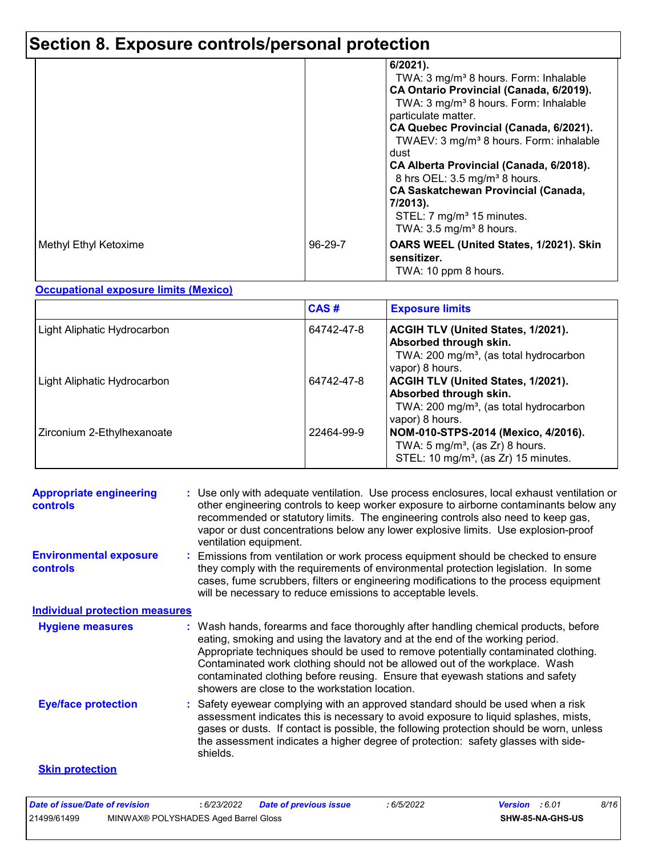# **Section 8. Exposure controls/personal protection**

|                       |         | 6/2021).<br>TWA: 3 mg/m <sup>3</sup> 8 hours. Form: Inhalable<br>CA Ontario Provincial (Canada, 6/2019).<br>TWA: 3 mg/m <sup>3</sup> 8 hours. Form: Inhalable<br>particulate matter.<br>CA Quebec Provincial (Canada, 6/2021).<br>TWAEV: 3 mg/m <sup>3</sup> 8 hours. Form: inhalable<br>dust<br>CA Alberta Provincial (Canada, 6/2018).<br>8 hrs OEL: 3.5 mg/m <sup>3</sup> 8 hours.<br><b>CA Saskatchewan Provincial (Canada,</b><br>7/2013).<br>STEL: 7 mg/m <sup>3</sup> 15 minutes.<br>TWA: $3.5 \text{ mg/m}^3$ 8 hours. |
|-----------------------|---------|--------------------------------------------------------------------------------------------------------------------------------------------------------------------------------------------------------------------------------------------------------------------------------------------------------------------------------------------------------------------------------------------------------------------------------------------------------------------------------------------------------------------------------|
| Methyl Ethyl Ketoxime | 96-29-7 | OARS WEEL (United States, 1/2021). Skin<br>sensitizer.<br>TWA: 10 ppm 8 hours.                                                                                                                                                                                                                                                                                                                                                                                                                                                 |

#### **Occupational exposure limits (Mexico)**

|                             | CAS#       | <b>Exposure limits</b>                                                                                                                       |
|-----------------------------|------------|----------------------------------------------------------------------------------------------------------------------------------------------|
| Light Aliphatic Hydrocarbon | 64742-47-8 | <b>ACGIH TLV (United States, 1/2021).</b><br>Absorbed through skin.<br>TWA: 200 mg/m <sup>3</sup> , (as total hydrocarbon<br>vapor) 8 hours. |
| Light Aliphatic Hydrocarbon | 64742-47-8 | <b>ACGIH TLV (United States, 1/2021).</b><br>Absorbed through skin.<br>TWA: 200 mg/m <sup>3</sup> , (as total hydrocarbon<br>vapor) 8 hours. |
| Zirconium 2-Ethylhexanoate  | 22464-99-9 | NOM-010-STPS-2014 (Mexico, 4/2016).<br>TWA: $5 \text{ mg/m}^3$ , (as Zr) 8 hours.<br>STEL: 10 mg/m <sup>3</sup> , (as Zr) 15 minutes.        |

| <b>Appropriate engineering</b><br><b>controls</b> | : Use only with adequate ventilation. Use process enclosures, local exhaust ventilation or<br>other engineering controls to keep worker exposure to airborne contaminants below any<br>recommended or statutory limits. The engineering controls also need to keep gas,<br>vapor or dust concentrations below any lower explosive limits. Use explosion-proof<br>ventilation equipment.                                                                                     |
|---------------------------------------------------|-----------------------------------------------------------------------------------------------------------------------------------------------------------------------------------------------------------------------------------------------------------------------------------------------------------------------------------------------------------------------------------------------------------------------------------------------------------------------------|
| <b>Environmental exposure</b><br><b>controls</b>  | : Emissions from ventilation or work process equipment should be checked to ensure<br>they comply with the requirements of environmental protection legislation. In some<br>cases, fume scrubbers, filters or engineering modifications to the process equipment<br>will be necessary to reduce emissions to acceptable levels.                                                                                                                                             |
| <b>Individual protection measures</b>             |                                                                                                                                                                                                                                                                                                                                                                                                                                                                             |
| <b>Hygiene measures</b>                           | : Wash hands, forearms and face thoroughly after handling chemical products, before<br>eating, smoking and using the lavatory and at the end of the working period.<br>Appropriate techniques should be used to remove potentially contaminated clothing.<br>Contaminated work clothing should not be allowed out of the workplace. Wash<br>contaminated clothing before reusing. Ensure that eyewash stations and safety<br>showers are close to the workstation location. |
| <b>Eye/face protection</b>                        | Safety eyewear complying with an approved standard should be used when a risk<br>assessment indicates this is necessary to avoid exposure to liquid splashes, mists,<br>gases or dusts. If contact is possible, the following protection should be worn, unless<br>the assessment indicates a higher degree of protection: safety glasses with side-<br>shields.                                                                                                            |
| <b>Skin protection</b>                            |                                                                                                                                                                                                                                                                                                                                                                                                                                                                             |

| Date of issue/Date of revision |                                      | 6/23/2022 | <b>Date of previous issue</b> | 6/5/2022 | <b>Version</b> : 6.01 |                  | 8/16 |
|--------------------------------|--------------------------------------|-----------|-------------------------------|----------|-----------------------|------------------|------|
| 21499/61499                    | MINWAX® POLYSHADES Aged Barrel Gloss |           |                               |          |                       | SHW-85-NA-GHS-US |      |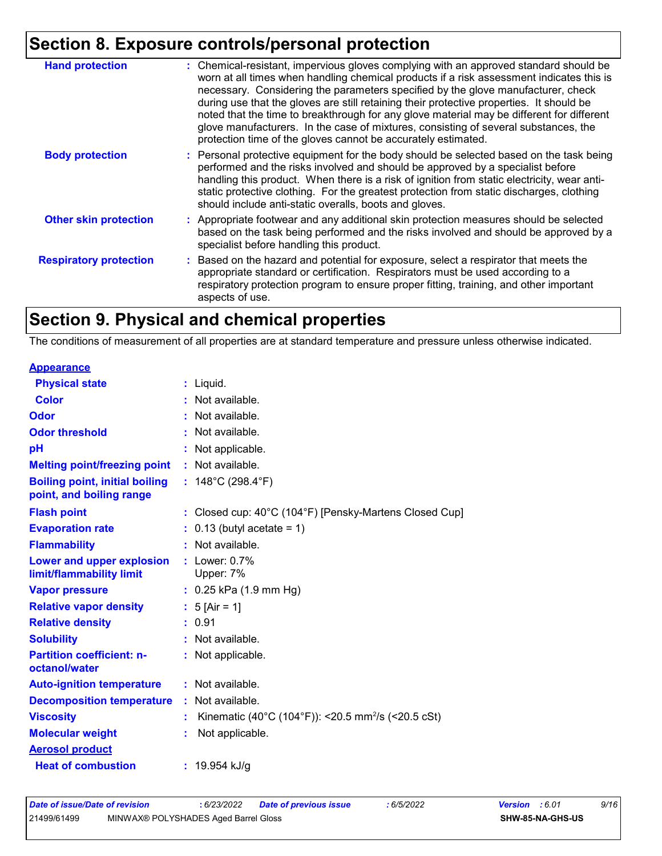# **Section 8. Exposure controls/personal protection**

| <b>Hand protection</b>        | : Chemical-resistant, impervious gloves complying with an approved standard should be<br>worn at all times when handling chemical products if a risk assessment indicates this is<br>necessary. Considering the parameters specified by the glove manufacturer, check<br>during use that the gloves are still retaining their protective properties. It should be<br>noted that the time to breakthrough for any glove material may be different for different<br>glove manufacturers. In the case of mixtures, consisting of several substances, the<br>protection time of the gloves cannot be accurately estimated. |
|-------------------------------|------------------------------------------------------------------------------------------------------------------------------------------------------------------------------------------------------------------------------------------------------------------------------------------------------------------------------------------------------------------------------------------------------------------------------------------------------------------------------------------------------------------------------------------------------------------------------------------------------------------------|
| <b>Body protection</b>        | : Personal protective equipment for the body should be selected based on the task being<br>performed and the risks involved and should be approved by a specialist before<br>handling this product. When there is a risk of ignition from static electricity, wear anti-<br>static protective clothing. For the greatest protection from static discharges, clothing<br>should include anti-static overalls, boots and gloves.                                                                                                                                                                                         |
| <b>Other skin protection</b>  | : Appropriate footwear and any additional skin protection measures should be selected<br>based on the task being performed and the risks involved and should be approved by a<br>specialist before handling this product.                                                                                                                                                                                                                                                                                                                                                                                              |
| <b>Respiratory protection</b> | : Based on the hazard and potential for exposure, select a respirator that meets the<br>appropriate standard or certification. Respirators must be used according to a<br>respiratory protection program to ensure proper fitting, training, and other important<br>aspects of use.                                                                                                                                                                                                                                                                                                                                    |

# **Section 9. Physical and chemical properties**

The conditions of measurement of all properties are at standard temperature and pressure unless otherwise indicated.

| : Liquid.                                                                   |
|-----------------------------------------------------------------------------|
| : Not available.                                                            |
| : Not available.                                                            |
| : Not available.                                                            |
| : Not applicable.                                                           |
| : Not available.                                                            |
| : $148^{\circ}$ C (298.4 $^{\circ}$ F)                                      |
| : Closed cup: $40^{\circ}$ C (104 $^{\circ}$ F) [Pensky-Martens Closed Cup] |
| $: 0.13$ (butyl acetate = 1)                                                |
| : Not available.                                                            |
| $:$ Lower: $0.7\%$<br>Upper: 7%                                             |
| $: 0.25$ kPa (1.9 mm Hg)                                                    |
| : $5$ [Air = 1]                                                             |
| : 0.91                                                                      |
| : Not available.                                                            |
| : Not applicable.                                                           |
| : Not available.                                                            |
| : Not available.                                                            |
| Kinematic (40°C (104°F)): <20.5 mm <sup>2</sup> /s (<20.5 cSt)              |
| Not applicable.                                                             |
|                                                                             |
| : 19.954 kJ/g                                                               |
|                                                                             |

| Date of issue/Date of revision |                                      | : 6/23/2022 | Date of previous issue | : 6/5/2022 | <b>Version</b> : 6.01   | 9/16 |
|--------------------------------|--------------------------------------|-------------|------------------------|------------|-------------------------|------|
| 21499/61499                    | MINWAX® POLYSHADES Aged Barrel Gloss |             |                        |            | <b>SHW-85-NA-GHS-US</b> |      |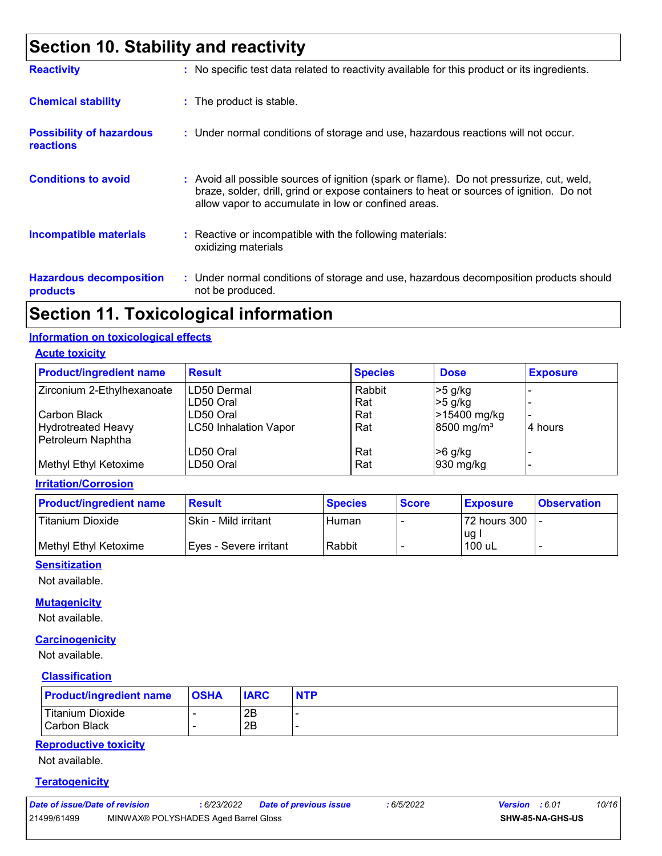# **Section 10. Stability and reactivity**

| <b>Reactivity</b>                                   | : No specific test data related to reactivity available for this product or its ingredients.                                                                                                                                               |
|-----------------------------------------------------|--------------------------------------------------------------------------------------------------------------------------------------------------------------------------------------------------------------------------------------------|
| <b>Chemical stability</b>                           | : The product is stable.                                                                                                                                                                                                                   |
| <b>Possibility of hazardous</b><br><b>reactions</b> | : Under normal conditions of storage and use, hazardous reactions will not occur.                                                                                                                                                          |
| <b>Conditions to avoid</b>                          | : Avoid all possible sources of ignition (spark or flame). Do not pressurize, cut, weld,<br>braze, solder, drill, grind or expose containers to heat or sources of ignition. Do not<br>allow vapor to accumulate in low or confined areas. |
| <b>Incompatible materials</b>                       | $\therefore$ Reactive or incompatible with the following materials:<br>oxidizing materials                                                                                                                                                 |
| <b>Hazardous decomposition</b><br>products          | : Under normal conditions of storage and use, hazardous decomposition products should<br>not be produced.                                                                                                                                  |

## **Section 11. Toxicological information**

#### **Information on toxicological effects**

**Acute toxicity**

| <b>Product/ingredient name</b> | <b>Result</b>         | <b>Species</b> | <b>Dose</b>            | <b>Exposure</b> |
|--------------------------------|-----------------------|----------------|------------------------|-----------------|
| Zirconium 2-Ethylhexanoate     | <b>ILD50 Dermal</b>   | Rabbit         | $>5$ g/kg              |                 |
|                                | ILD50 Oral            | Rat            | $>5$ g/kg              |                 |
| Carbon Black                   | LD50 Oral             | Rat            | >15400 mg/kg           |                 |
| <b>Hydrotreated Heavy</b>      | LC50 Inhalation Vapor | Rat            | 8500 mg/m <sup>3</sup> | 4 hours         |
| Petroleum Naphtha              |                       |                |                        |                 |
|                                | LD50 Oral             | Rat            | $>6$ g/kg              |                 |
| Methyl Ethyl Ketoxime          | LD50 Oral             | Rat            | 930 mg/kg              |                 |

**Irritation/Corrosion**

| <b>Product/ingredient name</b> | <b>Result</b>          | <b>Species</b> | <b>Score</b> | <b>Exposure</b> | <b>Observation</b> |
|--------------------------------|------------------------|----------------|--------------|-----------------|--------------------|
| Titanium Dioxide               | Skin - Mild irritant   | Human          |              | 72 hours 300    |                    |
| Methyl Ethyl Ketoxime          | Eyes - Severe irritant | Rabbit         |              | ug<br>100 uL    | -                  |

#### **Sensitization**

Not available.

#### **Mutagenicity**

Not available.

#### **Carcinogenicity**

Not available.

#### **Classification**

| <b>Product/ingredient name</b>            | <b>OSHA</b> | <b>IARC</b> | <b>NTP</b> |
|-------------------------------------------|-------------|-------------|------------|
| <b>Titanium Dioxide</b><br>l Carbon Black |             | 2B<br>2B    |            |

#### **Reproductive toxicity**

Not available.

#### **Teratogenicity**

| Date of issue/Date of revision |                                      | : 6/23/2022 | Date of previous issue | : 6/5/2022 | <b>Version</b> : 6.01 |                         | 10/16 |
|--------------------------------|--------------------------------------|-------------|------------------------|------------|-----------------------|-------------------------|-------|
| 21499/61499                    | MINWAX® POLYSHADES Aged Barrel Gloss |             |                        |            |                       | <b>SHW-85-NA-GHS-US</b> |       |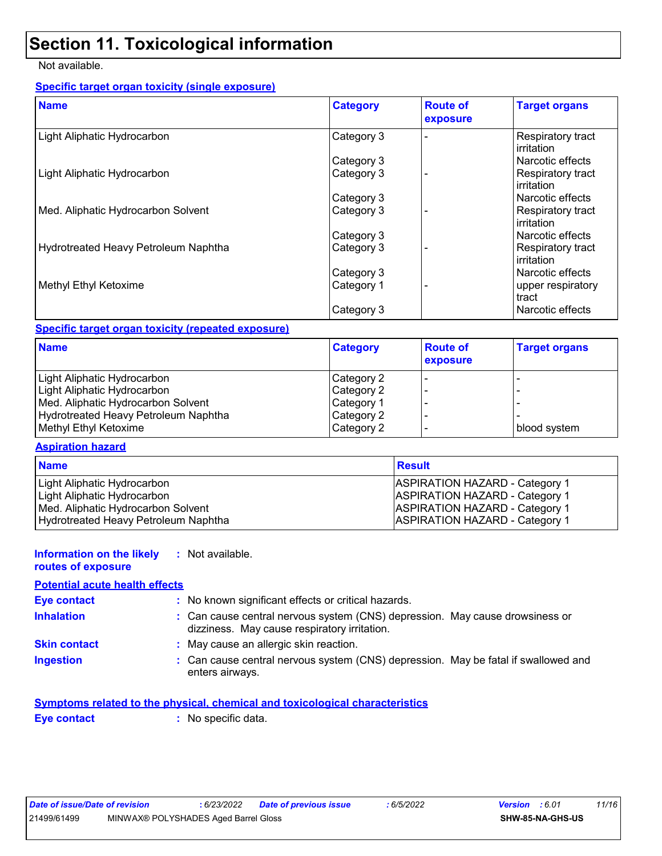# **Section 11. Toxicological information**

#### Not available.

#### **Specific target organ toxicity (single exposure)**

| <b>Name</b>                          | <b>Category</b> | <b>Route of</b><br>exposure | <b>Target organs</b>                   |
|--------------------------------------|-----------------|-----------------------------|----------------------------------------|
| Light Aliphatic Hydrocarbon          | Category 3      |                             | Respiratory tract<br>irritation        |
|                                      | Category 3      |                             | Narcotic effects                       |
| Light Aliphatic Hydrocarbon          | Category 3      |                             | Respiratory tract<br>irritation        |
|                                      | Category 3      |                             | Narcotic effects                       |
| Med. Aliphatic Hydrocarbon Solvent   | Category 3      |                             | Respiratory tract<br>irritation        |
|                                      | Category 3      |                             | Narcotic effects                       |
| Hydrotreated Heavy Petroleum Naphtha | Category 3      |                             | Respiratory tract<br><b>irritation</b> |
|                                      | Category 3      |                             | Narcotic effects                       |
| Methyl Ethyl Ketoxime                | Category 1      |                             | upper respiratory<br>tract             |
|                                      | Category 3      |                             | Narcotic effects                       |

#### **Specific target organ toxicity (repeated exposure)**

| <b>Name</b>                          | <b>Category</b> | <b>Route of</b><br>exposure | <b>Target organs</b> |
|--------------------------------------|-----------------|-----------------------------|----------------------|
| Light Aliphatic Hydrocarbon          | Category 2      |                             |                      |
| Light Aliphatic Hydrocarbon          | Category 2      |                             |                      |
| Med. Aliphatic Hydrocarbon Solvent   | Category 1      |                             |                      |
| Hydrotreated Heavy Petroleum Naphtha | Category 2      |                             |                      |
| Methyl Ethyl Ketoxime                | Category 2      |                             | blood system         |

#### **Aspiration hazard**

| <b>Name</b>                          | <b>Result</b>                         |
|--------------------------------------|---------------------------------------|
| Light Aliphatic Hydrocarbon          | <b>ASPIRATION HAZARD - Category 1</b> |
| Light Aliphatic Hydrocarbon          | <b>ASPIRATION HAZARD - Category 1</b> |
| Med. Aliphatic Hydrocarbon Solvent   | <b>ASPIRATION HAZARD - Category 1</b> |
| Hydrotreated Heavy Petroleum Naphtha | <b>ASPIRATION HAZARD - Category 1</b> |

#### **Information on the likely :** Not available.

**routes of exposure**

#### **Potential acute health effects**

| <b>Eye contact</b>  | : No known significant effects or critical hazards.                                                                          |  |
|---------------------|------------------------------------------------------------------------------------------------------------------------------|--|
| <b>Inhalation</b>   | : Can cause central nervous system (CNS) depression. May cause drowsiness or<br>dizziness. May cause respiratory irritation. |  |
| <b>Skin contact</b> | : May cause an allergic skin reaction.                                                                                       |  |
| <b>Ingestion</b>    | : Can cause central nervous system (CNS) depression. May be fatal if swallowed and<br>enters airways.                        |  |

|             | Symptoms related to the physical, chemical and toxicological characteristics |  |
|-------------|------------------------------------------------------------------------------|--|
| Eye contact | : No specific data.                                                          |  |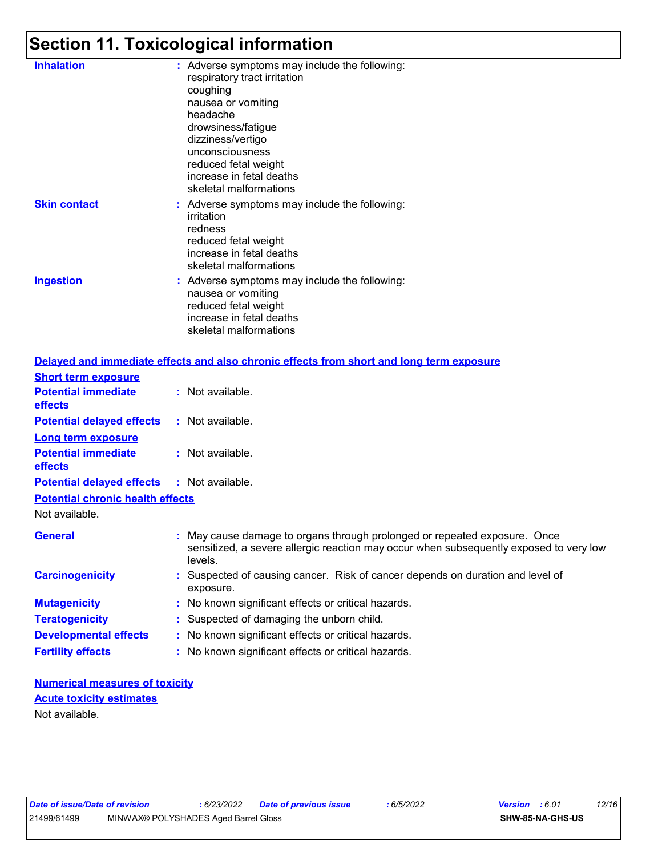# **Section 11. Toxicological information**

| <b>Inhalation</b>   | : Adverse symptoms may include the following:<br>respiratory tract irritation<br>coughing<br>nausea or vomiting<br>headache<br>drowsiness/fatigue<br>dizziness/vertigo<br>unconsciousness<br>reduced fetal weight<br>increase in fetal deaths<br>skeletal malformations |
|---------------------|-------------------------------------------------------------------------------------------------------------------------------------------------------------------------------------------------------------------------------------------------------------------------|
| <b>Skin contact</b> | : Adverse symptoms may include the following:<br>irritation<br>redness<br>reduced fetal weight<br>increase in fetal deaths<br>skeletal malformations                                                                                                                    |
| <b>Ingestion</b>    | : Adverse symptoms may include the following:<br>nausea or vomiting<br>reduced fetal weight<br>increase in fetal deaths<br>skeletal malformations                                                                                                                       |
|                     | Delayed and immediate effects and also chronic effects from short and long                                                                                                                                                                                              |

| Delayed and immediate effects and also chronic effects from short and long term exposure                                                                                       |
|--------------------------------------------------------------------------------------------------------------------------------------------------------------------------------|
|                                                                                                                                                                                |
| : Not available.                                                                                                                                                               |
| : Not available.                                                                                                                                                               |
|                                                                                                                                                                                |
| : Not available.                                                                                                                                                               |
| <b>Potential delayed effects : Not available.</b>                                                                                                                              |
| <b>Potential chronic health effects</b>                                                                                                                                        |
|                                                                                                                                                                                |
| : May cause damage to organs through prolonged or repeated exposure. Once<br>sensitized, a severe allergic reaction may occur when subsequently exposed to very low<br>levels. |
| : Suspected of causing cancer. Risk of cancer depends on duration and level of<br>exposure.                                                                                    |
| : No known significant effects or critical hazards.                                                                                                                            |
| : Suspected of damaging the unborn child.                                                                                                                                      |
| : No known significant effects or critical hazards.                                                                                                                            |
| : No known significant effects or critical hazards.                                                                                                                            |
|                                                                                                                                                                                |

**Numerical measures of toxicity** Not available. **Acute toxicity estimates**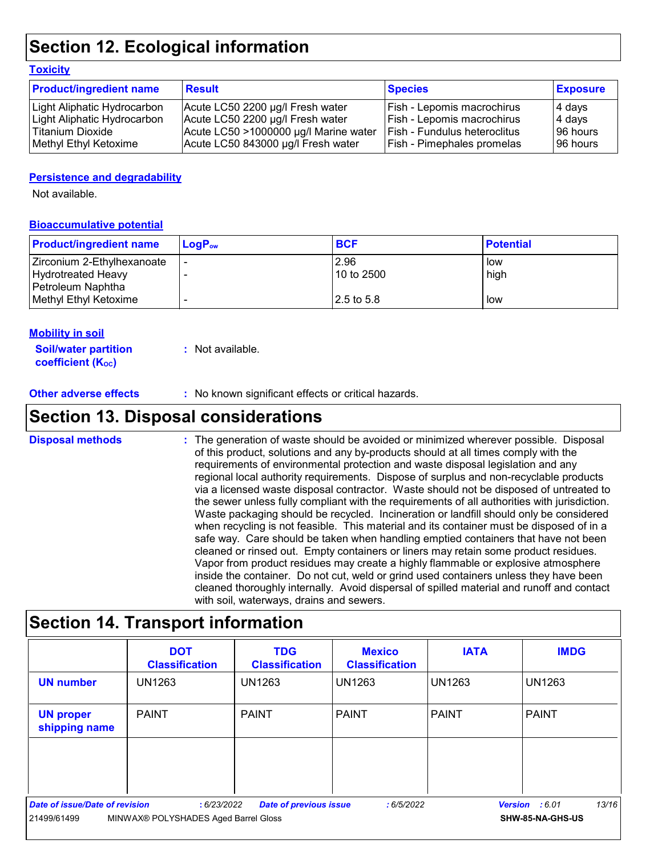# **Section 12. Ecological information**

#### **Toxicity**

| <b>Product/ingredient name</b> | <b>Result</b>                         | <b>Species</b>                 | <b>Exposure</b> |
|--------------------------------|---------------------------------------|--------------------------------|-----------------|
| Light Aliphatic Hydrocarbon    | Acute LC50 2200 µg/l Fresh water      | Fish - Lepomis macrochirus     | 4 days          |
| Light Aliphatic Hydrocarbon    | Acute LC50 2200 µg/l Fresh water      | Fish - Lepomis macrochirus     | 4 days          |
| l Titanium Dioxide             | Acute LC50 >1000000 µg/l Marine water | l Fish - Fundulus heteroclitus | 196 hours       |
| Methyl Ethyl Ketoxime          | Acute LC50 843000 µg/l Fresh water    | Fish - Pimephales promelas     | 196 hours       |

#### **Persistence and degradability**

Not available.

#### **Bioaccumulative potential**

| <b>Product/ingredient name</b> | $LoaPow$ | <b>BCF</b> | <b>Potential</b> |
|--------------------------------|----------|------------|------------------|
| Zirconium 2-Ethylhexanoate     |          | 2.96       | low              |
| Hydrotreated Heavy             |          | 10 to 2500 | high             |
| Petroleum Naphtha              |          |            |                  |
| Methyl Ethyl Ketoxime          |          | 2.5 to 5.8 | low              |

#### **Mobility in soil**

**Soil/water partition coefficient (K**<sub>oc</sub>)

**:** Not available.

**Other adverse effects** : No known significant effects or critical hazards.

### **Section 13. Disposal considerations**

The generation of waste should be avoided or minimized wherever possible. Disposal of this product, solutions and any by-products should at all times comply with the requirements of environmental protection and waste disposal legislation and any regional local authority requirements. Dispose of surplus and non-recyclable products via a licensed waste disposal contractor. Waste should not be disposed of untreated to the sewer unless fully compliant with the requirements of all authorities with jurisdiction. Waste packaging should be recycled. Incineration or landfill should only be considered when recycling is not feasible. This material and its container must be disposed of in a safe way. Care should be taken when handling emptied containers that have not been cleaned or rinsed out. Empty containers or liners may retain some product residues. Vapor from product residues may create a highly flammable or explosive atmosphere inside the container. Do not cut, weld or grind used containers unless they have been cleaned thoroughly internally. Avoid dispersal of spilled material and runoff and contact with soil, waterways, drains and sewers. **Disposal methods :**

# **Section 14. Transport information**

|                                                                                            | <b>DOT</b><br><b>Classification</b> | <b>TDG</b><br><b>Classification</b> | <b>Mexico</b><br><b>Classification</b> | <b>IATA</b>   | <b>IMDG</b>             |
|--------------------------------------------------------------------------------------------|-------------------------------------|-------------------------------------|----------------------------------------|---------------|-------------------------|
| <b>UN number</b>                                                                           | <b>UN1263</b>                       | <b>UN1263</b>                       | <b>UN1263</b>                          | <b>UN1263</b> | <b>UN1263</b>           |
| <b>UN proper</b><br>shipping name                                                          | <b>PAINT</b>                        | <b>PAINT</b>                        | l PAINT                                | <b>PAINT</b>  | <b>PAINT</b>            |
|                                                                                            |                                     |                                     |                                        |               |                         |
|                                                                                            |                                     |                                     |                                        |               |                         |
| Date of issue/Date of revision<br><b>Date of previous issue</b><br>:6/23/2022<br>:6/5/2022 |                                     |                                     |                                        |               | 13/16<br>Version : 6.01 |
| MINWAX® POLYSHADES Aged Barrel Gloss<br>21499/61499                                        |                                     |                                     |                                        |               | SHW-85-NA-GHS-US        |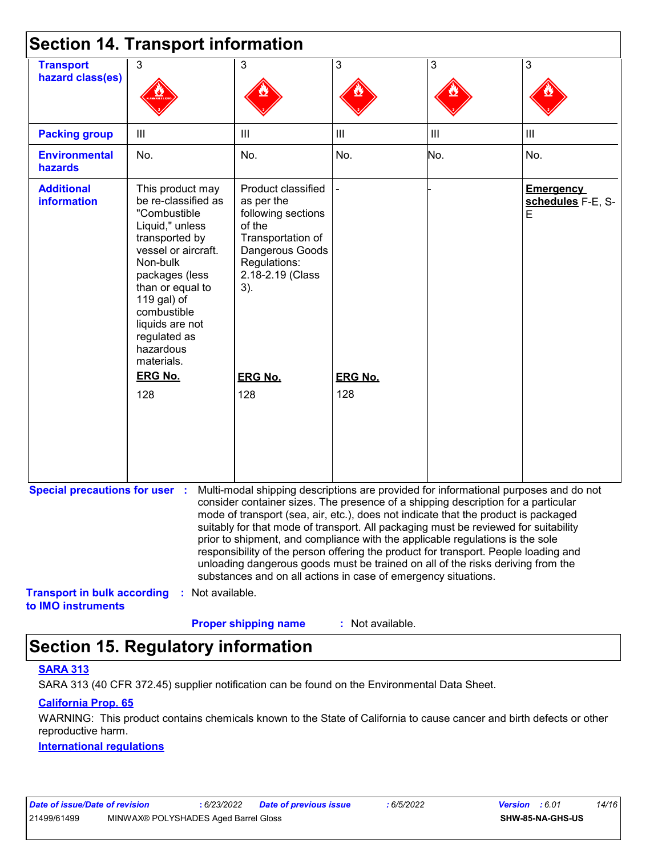|                                                          | <b>Section 14. Transport information</b>                                                                                                                                                                                                                          |                                                                                                                                                                                                                                                                                                                                                                                                                                                                                                                                                                                                                                                                                     |                  |                |                                            |
|----------------------------------------------------------|-------------------------------------------------------------------------------------------------------------------------------------------------------------------------------------------------------------------------------------------------------------------|-------------------------------------------------------------------------------------------------------------------------------------------------------------------------------------------------------------------------------------------------------------------------------------------------------------------------------------------------------------------------------------------------------------------------------------------------------------------------------------------------------------------------------------------------------------------------------------------------------------------------------------------------------------------------------------|------------------|----------------|--------------------------------------------|
| <b>Transport</b><br>hazard class(es)                     | 3                                                                                                                                                                                                                                                                 | 3                                                                                                                                                                                                                                                                                                                                                                                                                                                                                                                                                                                                                                                                                   | 3                | 3              | 3                                          |
|                                                          |                                                                                                                                                                                                                                                                   |                                                                                                                                                                                                                                                                                                                                                                                                                                                                                                                                                                                                                                                                                     |                  |                |                                            |
| <b>Packing group</b>                                     | Ш                                                                                                                                                                                                                                                                 | Ш                                                                                                                                                                                                                                                                                                                                                                                                                                                                                                                                                                                                                                                                                   | III              | $\mathbf{III}$ | $\begin{array}{c} \hline \end{array}$      |
| <b>Environmental</b><br>hazards                          | No.                                                                                                                                                                                                                                                               | No.                                                                                                                                                                                                                                                                                                                                                                                                                                                                                                                                                                                                                                                                                 | No.              | No.            | No.                                        |
| <b>Additional</b><br><b>information</b>                  | This product may<br>be re-classified as<br>"Combustible<br>Liquid," unless<br>transported by<br>vessel or aircraft.<br>Non-bulk<br>packages (less<br>than or equal to<br>119 gal) of<br>combustible<br>liquids are not<br>regulated as<br>hazardous<br>materials. | Product classified<br>as per the<br>following sections<br>of the<br>Transportation of<br>Dangerous Goods<br>Regulations:<br>2.18-2.19 (Class<br>3).                                                                                                                                                                                                                                                                                                                                                                                                                                                                                                                                 |                  |                | <b>Emergency</b><br>schedules F-E, S-<br>E |
|                                                          | <b>ERG No.</b>                                                                                                                                                                                                                                                    | <b>ERG No.</b>                                                                                                                                                                                                                                                                                                                                                                                                                                                                                                                                                                                                                                                                      | <b>ERG No.</b>   |                |                                            |
|                                                          | 128                                                                                                                                                                                                                                                               | 128                                                                                                                                                                                                                                                                                                                                                                                                                                                                                                                                                                                                                                                                                 | 128              |                |                                            |
| <b>Special precautions for user :</b>                    |                                                                                                                                                                                                                                                                   | Multi-modal shipping descriptions are provided for informational purposes and do not<br>consider container sizes. The presence of a shipping description for a particular<br>mode of transport (sea, air, etc.), does not indicate that the product is packaged<br>suitably for that mode of transport. All packaging must be reviewed for suitability<br>prior to shipment, and compliance with the applicable regulations is the sole<br>responsibility of the person offering the product for transport. People loading and<br>unloading dangerous goods must be trained on all of the risks deriving from the<br>substances and on all actions in case of emergency situations. |                  |                |                                            |
| <b>Transport in bulk according</b><br>to IMO instruments | Not available.                                                                                                                                                                                                                                                    | <b>Proper shipping name</b>                                                                                                                                                                                                                                                                                                                                                                                                                                                                                                                                                                                                                                                         | : Not available. |                |                                            |

# **Section 15. Regulatory information**

#### **SARA 313**

SARA 313 (40 CFR 372.45) supplier notification can be found on the Environmental Data Sheet.

#### **California Prop. 65**

WARNING: This product contains chemicals known to the State of California to cause cancer and birth defects or other reproductive harm.

#### **International regulations**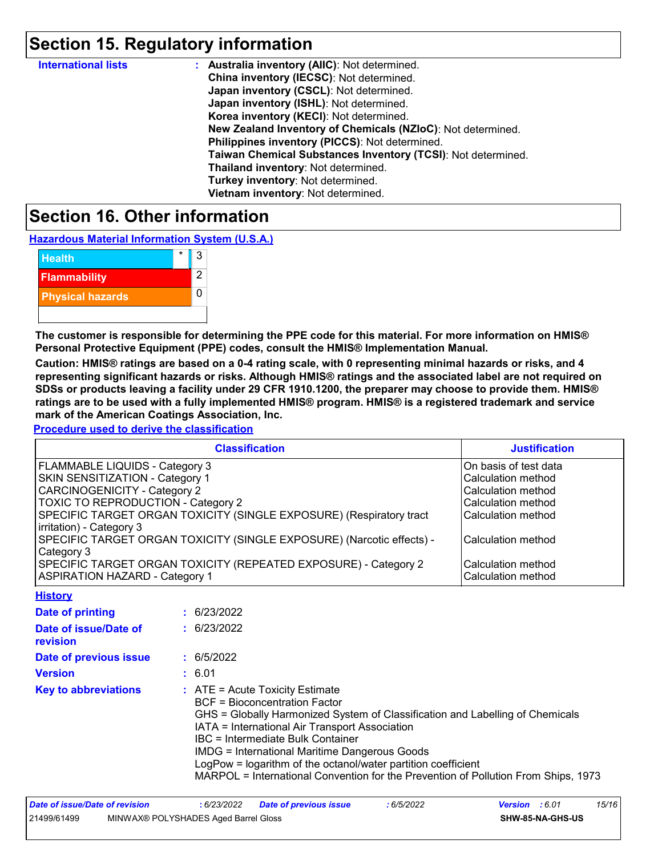# **Section 15. Regulatory information**

| <b>International lists</b> | : Australia inventory (AIIC): Not determined.                |
|----------------------------|--------------------------------------------------------------|
|                            | China inventory (IECSC): Not determined.                     |
|                            | Japan inventory (CSCL): Not determined.                      |
|                            | Japan inventory (ISHL): Not determined.                      |
|                            | Korea inventory (KECI): Not determined.                      |
|                            | New Zealand Inventory of Chemicals (NZIoC): Not determined.  |
|                            | Philippines inventory (PICCS): Not determined.               |
|                            | Taiwan Chemical Substances Inventory (TCSI): Not determined. |
|                            | Thailand inventory: Not determined.                          |
|                            | Turkey inventory: Not determined.                            |
|                            | Vietnam inventory: Not determined.                           |

### **Section 16. Other information**

**Hazardous Material Information System (U.S.A.)**



**The customer is responsible for determining the PPE code for this material. For more information on HMIS® Personal Protective Equipment (PPE) codes, consult the HMIS® Implementation Manual.**

**Caution: HMIS® ratings are based on a 0-4 rating scale, with 0 representing minimal hazards or risks, and 4 representing significant hazards or risks. Although HMIS® ratings and the associated label are not required on SDSs or products leaving a facility under 29 CFR 1910.1200, the preparer may choose to provide them. HMIS® ratings are to be used with a fully implemented HMIS® program. HMIS® is a registered trademark and service mark of the American Coatings Association, Inc.**

**Procedure used to derive the classification**

| <b>Classification</b>                                                 | <b>Justification</b>  |
|-----------------------------------------------------------------------|-----------------------|
| FLAMMABLE LIQUIDS - Category 3                                        | On basis of test data |
| SKIN SENSITIZATION - Category 1                                       | Calculation method    |
| CARCINOGENICITY - Category 2                                          | Calculation method    |
| <b>TOXIC TO REPRODUCTION - Category 2</b>                             | Calculation method    |
| SPECIFIC TARGET ORGAN TOXICITY (SINGLE EXPOSURE) (Respiratory tract   | Calculation method    |
| irritation) - Category 3                                              |                       |
| SPECIFIC TARGET ORGAN TOXICITY (SINGLE EXPOSURE) (Narcotic effects) - | Calculation method    |
| Category 3                                                            |                       |
| SPECIFIC TARGET ORGAN TOXICITY (REPEATED EXPOSURE) - Category 2       | Calculation method    |
| <b>ASPIRATION HAZARD - Category 1</b>                                 | Calculation method    |
| Hietory                                                               |                       |

| <u>нізші у</u>                    |                                                                                                                                                                                                                                                                                                                                                                                                                                                                           |
|-----------------------------------|---------------------------------------------------------------------------------------------------------------------------------------------------------------------------------------------------------------------------------------------------------------------------------------------------------------------------------------------------------------------------------------------------------------------------------------------------------------------------|
| Date of printing                  | : 6/23/2022                                                                                                                                                                                                                                                                                                                                                                                                                                                               |
| Date of issue/Date of<br>revision | : 6/23/2022                                                                                                                                                                                                                                                                                                                                                                                                                                                               |
| Date of previous issue            | : 6/5/2022                                                                                                                                                                                                                                                                                                                                                                                                                                                                |
| <b>Version</b>                    | : 6.01                                                                                                                                                                                                                                                                                                                                                                                                                                                                    |
| <b>Key to abbreviations</b>       | $\therefore$ ATE = Acute Toxicity Estimate<br><b>BCF</b> = Bioconcentration Factor<br>GHS = Globally Harmonized System of Classification and Labelling of Chemicals<br>IATA = International Air Transport Association<br>IBC = Intermediate Bulk Container<br><b>IMDG = International Maritime Dangerous Goods</b><br>LogPow = logarithm of the octanol/water partition coefficient<br>MARPOL = International Convention for the Prevention of Pollution From Ships, 1973 |

| Date of issue/Date of revision |                                      | 6/23/2022 | <b>Date of previous issue</b> | 6/5/2022 | <b>Version</b> : 6.01   |  | 15/16 |
|--------------------------------|--------------------------------------|-----------|-------------------------------|----------|-------------------------|--|-------|
| 21499/61499                    | MINWAX® POLYSHADES Aged Barrel Gloss |           |                               |          | <b>SHW-85-NA-GHS-US</b> |  |       |